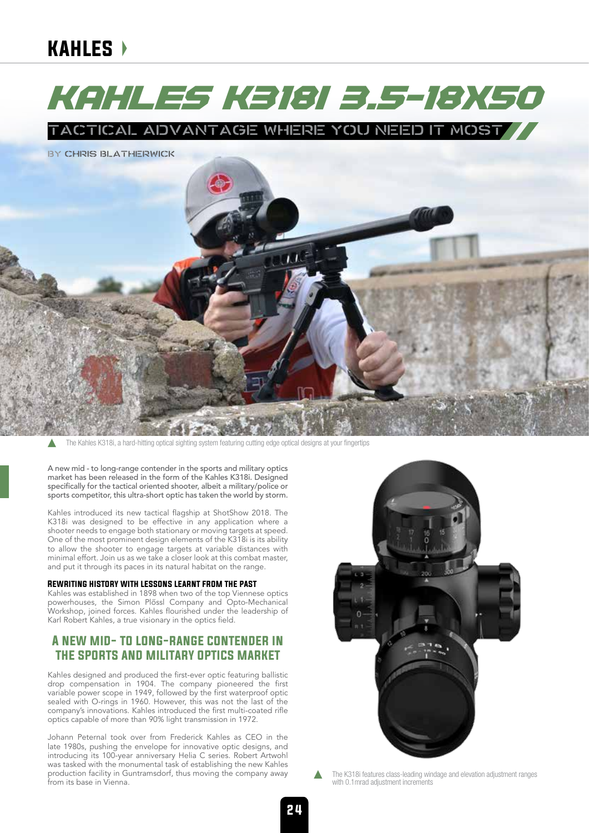# kahles

# Kahles K318i 3.5-18x50

TACTICAL ADVANTAGE WHERE YOU NEED IT MOST

**BY CHRIS BLATHERWICK** 



The Kahles K318i, a hard-hitting optical sighting system featuring cutting edge optical designs at your fingertips

A new mid - to long-range contender in the sports and military optics market has been released in the form of the Kahles K318i. Designed specifically for the tactical oriented shooter, albeit a military/police or sports competitor, this ultra-short optic has taken the world by storm.

Kahles introduced its new tactical flagship at ShotShow 2018. The K318i was designed to be effective in any application where a shooter needs to engage both stationary or moving targets at speed. One of the most prominent design elements of the K318i is its ability to allow the shooter to engage targets at variable distances with minimal effort. Join us as we take a closer look at this combat master, and put it through its paces in its natural habitat on the range.

### Rewriting history with lessons learnt from the past

Kahles was established in 1898 when two of the top Viennese optics powerhouses, the Simon Plőssl Company and Opto-Mechanical Workshop, joined forces. Kahles flourished under the leadership of Karl Robert Kahles, a true visionary in the optics field.

### A new mid- to long-range contender in the sports and military optics market

Kahles designed and produced the first-ever optic featuring ballistic drop compensation in 1904. The company pioneered the first variable power scope in 1949, followed by the first waterproof optic sealed with O-rings in 1960. However, this was not the last of the company's innovations. Kahles introduced the first multi-coated rifle optics capable of more than 90% light transmission in 1972.

Johann Peternal took over from Frederick Kahles as CEO in the late 1980s, pushing the envelope for innovative optic designs, and introducing its 100-year anniversary Helia C series. Robert Artwohl was tasked with the monumental task of establishing the new Kahles production facility in Guntramsdorf, thus moving the company away from its base in Vienna.



The K318i features class-leading windage and elevation adjustment ranges with 0.1mrad adjustment increments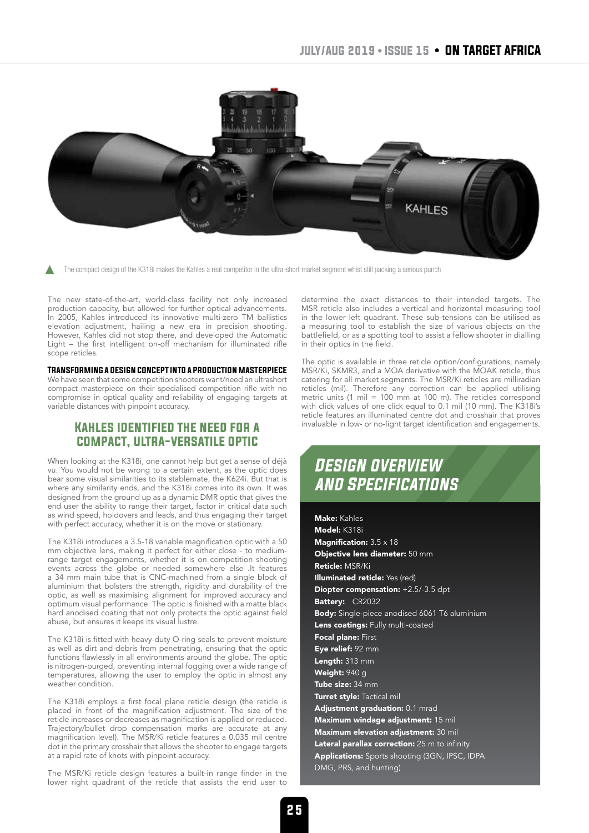

The compact design of the K318i makes the Kahles a real competitor in the ultra-short market segment whist still packing a serious punch

The new state-of-the-art, world-class facility not only increased production capacity, but allowed for further optical advancements. In 2005, Kahles introduced its innovative multi-zero TM ballistics elevation adjustment, hailing a new era in precision shooting. However, Kahles did not stop there, and developed the Automatic Light – the first intelligent on-off mechanism for illuminated rifle scope reticles.

### Transforming a design concept into a production masterpiece

We have seen that some competition shooters want/need an ultrashort compact masterpiece on their specialised competition rifle with no compromise in optical quality and reliability of engaging targets at variable distances with pinpoint accuracy.

## Kahles identified the need for a compact, ultra-versatile optic

When looking at the K318i, one cannot help but get a sense of déjà vu. You would not be wrong to a certain extent, as the optic does bear some visual similarities to its stablemate, the K624i. But that is where any similarity ends, and the K318i comes into its own. It was designed from the ground up as a dynamic DMR optic that gives the end user the ability to range their target, factor in critical data such as wind speed, holdovers and leads, and thus engaging their target with perfect accuracy, whether it is on the move or stationary.

The K318i introduces a 3.5-18 variable magnification optic with a 50 mm objective lens, making it perfect for either close - to mediumrange target engagements, whether it is on competition shooting events across the globe or needed somewhere else .It features a 34 mm main tube that is CNC-machined from a single block of aluminium that bolsters the strength, rigidity and durability of the optic, as well as maximising alignment for improved accuracy and optimum visual performance. The optic is finished with a matte black hard anodised coating that not only protects the optic against field abuse, but ensures it keeps its visual lustre.

The K318i is fitted with heavy-duty O-ring seals to prevent moisture as well as dirt and debris from penetrating, ensuring that the optic functions flawlessly in all environments around the globe. The optic is nitrogen-purged, preventing internal fogging over a wide range of temperatures, allowing the user to employ the optic in almost any weather condition.

The K318i employs a first focal plane reticle design (the reticle is placed in front of the magnification adjustment. The size of the reticle increases or decreases as magnification is applied or reduced. Trajectory/bullet drop compensation marks are accurate at any magnification level). The MSR/Ki reticle features a 0.035 mil centre dot in the primary crosshair that allows the shooter to engage targets at a rapid rate of knots with pinpoint accuracy.

The MSR/Ki reticle design features a built-in range finder in the lower right quadrant of the reticle that assists the end user to

determine the exact distances to their intended targets. The MSR reticle also includes a vertical and horizontal measuring tool in the lower left quadrant. These sub-tensions can be utilised as a measuring tool to establish the size of various objects on the battlefield, or as a spotting tool to assist a fellow shooter in dialling in their optics in the field.

The optic is available in three reticle option/configurations, namely MSR/Ki, SKMR3, and a MOA derivative with the MOAK reticle, thus catering for all market segments. The MSR/Ki reticles are milliradian reticles (mil). Therefore any correction can be applied utilising metric units  $(1 \text{ mil} = 100 \text{ mm}$  at 100 m). The reticles correspond with click values of one click equal to 0.1 mil (10 mm). The K318i's reticle features an illuminated centre dot and crosshair that proves invaluable in low- or no-light target identification and engagements.

# *Design overview and Specifications*

Make: Kahles Model: K318i **Magnification:** 3.5 x 18 Objective lens diameter: 50 mm Reticle: MSR/Ki Illuminated reticle: Yes (red) Diopter compensation: +2.5/-3.5 dpt Battery: CR2032 Body: Single-piece anodised 6061 T6 aluminium Lens coatings: Fully multi-coated Focal plane: First Eye relief: 92 mm Length: 313 mm Weight: 940 g Tube size: 34 mm Turret style: Tactical mil Adjustment graduation: 0.1 mrad Maximum windage adjustment: 15 mil Maximum elevation adjustment: 30 mil Lateral parallax correction: 25 m to infinity Applications: Sports shooting (3GN, IPSC, IDPA DMG, PRS, and hunting)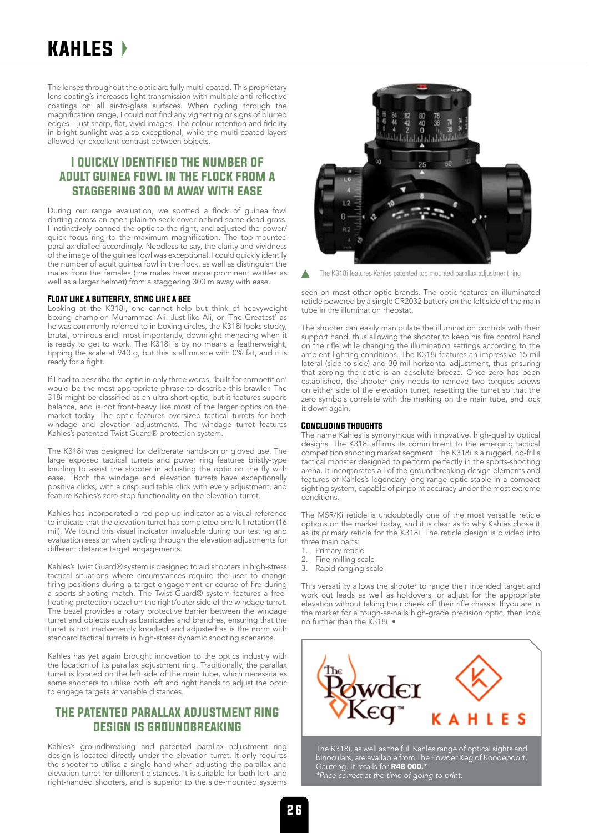# kahles

The lenses throughout the optic are fully multi-coated. This proprietary lens coating's increases light transmission with multiple anti-reflective coatings on all air-to-glass surfaces. When cycling through the magnification range, I could not find any vignetting or signs of blurred edges – just sharp, flat, vivid images. The colour retention and fidelity in bright sunlight was also exceptional, while the multi-coated layers allowed for excellent contrast between objects.

## I quickly identified the number of adult guinea fowl in the flock from a staggering 300 m away with ease

During our range evaluation, we spotted a flock of guinea fowl darting across an open plain to seek cover behind some dead grass. I instinctively panned the optic to the right, and adjusted the power/ quick focus ring to the maximum magnification. The top-mounted parallax dialled accordingly. Needless to say, the clarity and vividness of the image of the guinea fowl was exceptional. I could quickly identify the number of adult guinea fowl in the flock, as well as distinguish the males from the females (the males have more prominent wattles as well as a larger helmet) from a staggering 300 m away with ease.

#### Float like a butterfly, sting like a bee

Looking at the K318i, one cannot help but think of heavyweight boxing champion Muhammad Ali. Just like Ali, or 'The Greatest' as he was commonly referred to in boxing circles, the K318i looks stocky, brutal, ominous and, most importantly, downright menacing when it is ready to get to work. The K318i is by no means a featherweight, tipping the scale at 940 g, but this is all muscle with 0% fat, and it is ready for a fight.

If I had to describe the optic in only three words, 'built for competition' would be the most appropriate phrase to describe this brawler. The 318i might be classified as an ultra-short optic, but it features superb balance, and is not front-heavy like most of the larger optics on the market today. The optic features oversized tactical turrets for both windage and elevation adjustments. The windage turret features Kahles's patented Twist Guard® protection system.

The K318i was designed for deliberate hands-on or gloved use. The large exposed tactical turrets and power ring features bristly-type knurling to assist the shooter in adjusting the optic on the fly with ease. Both the windage and elevation turrets have exceptionally positive clicks, with a crisp auditable click with every adjustment, and feature Kahles's zero-stop functionality on the elevation turret.

Kahles has incorporated a red pop-up indicator as a visual reference to indicate that the elevation turret has completed one full rotation (16 mil). We found this visual indicator invaluable during our testing and evaluation session when cycling through the elevation adjustments for different distance target engagements.

Kahles's Twist Guard® system is designed to aid shooters in high-stress tactical situations where circumstances require the user to change firing positions during a target engagement or course of fire during a sports-shooting match. The Twist Guard® system features a freefloating protection bezel on the right/outer side of the windage turret. The bezel provides a rotary protective barrier between the windage turret and objects such as barricades and branches, ensuring that the turret is not inadvertently knocked and adjusted as is the norm with standard tactical turrets in high-stress dynamic shooting scenarios.

Kahles has yet again brought innovation to the optics industry with the location of its parallax adjustment ring. Traditionally, the parallax turret is located on the left side of the main tube, which necessitates some shooters to utilise both left and right hands to adjust the optic to engage targets at variable distances.

### The patented parallax adjustment ring design is groundbreaking

Kahles's groundbreaking and patented parallax adjustment ring design is located directly under the elevation turret. It only requires the shooter to utilise a single hand when adjusting the parallax and elevation turret for different distances. It is suitable for both left- and right-handed shooters, and is superior to the side-mounted systems



The K318i features Kahles patented top mounted parallax adjustment ring

seen on most other optic brands. The optic features an illuminated reticle powered by a single CR2032 battery on the left side of the main tube in the illumination rheostat.

The shooter can easily manipulate the illumination controls with their support hand, thus allowing the shooter to keep his fire control hand on the rifle while changing the illumination settings according to the ambient lighting conditions. The K318i features an impressive 15 mil lateral (side-to-side) and 30 mil horizontal adjustment, thus ensuring that zeroing the optic is an absolute breeze. Once zero has been established, the shooter only needs to remove two torques screws on either side of the elevation turret, resetting the turret so that the zero symbols correlate with the marking on the main tube, and lock it down again.

### Concluding thoughts

The name Kahles is synonymous with innovative, high-quality optical designs. The K318i affirms its commitment to the emerging tactical competition shooting market segment. The K318i is a rugged, no-frills tactical monster designed to perform perfectly in the sports-shooting arena. It incorporates all of the groundbreaking design elements and features of Kahles's legendary long-range optic stable in a compact sighting system, capable of pinpoint accuracy under the most extreme conditions.

The MSR/Ki reticle is undoubtedly one of the most versatile reticle options on the market today, and it is clear as to why Kahles chose it as its primary reticle for the K318i. The reticle design is divided into three main parts:

- 1. Primary reticle
- 2. Fine milling scale
- 3. Rapid ranging scale

This versatility allows the shooter to range their intended target and work out leads as well as holdovers, or adjust for the appropriate elevation without taking their cheek off their rifle chassis. If you are in the market for a tough-as-nails high-grade precision optic, then look no further than the K318i. •



The K318i, as well as the full Kahles range of optical sights and binoculars, are available from The Powder Keg of Roodepoort, Gauteng. It retails for R48 000.\* *\*Price correct at the time of going to print.*